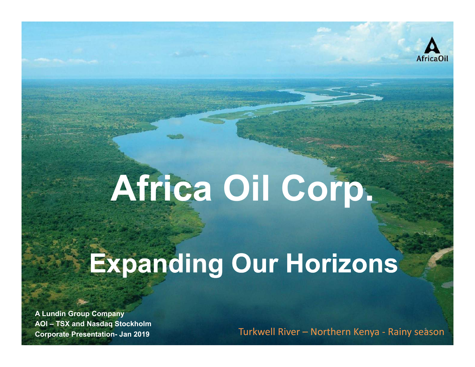

# **Africa Oil Corp.**

## **Expanding Our Horizons**

**A Lundin Group Company AOI – TSX and Nasdaq Stockholm**

**Corporate Presentation-Jan 2019** 19 Turkwell River – Northern Kenya - Rainy season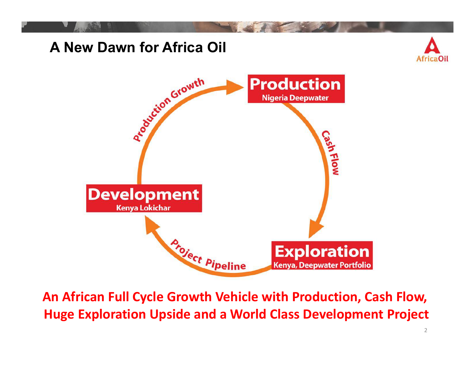

**An African Full Cycle Growth Vehicle with Production, Cash Flow, Huge Exploration Upside and a World Class Development Project**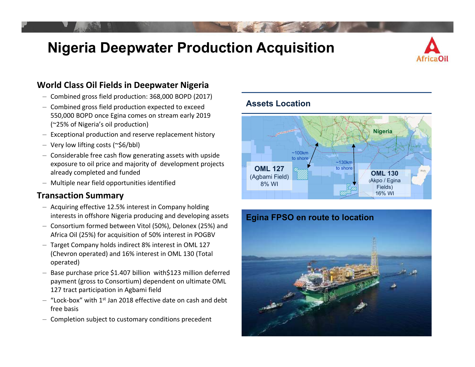### **Nigeria Deepwater Production Acquisition**



### **World Class Oil Fields in Deepwater Nigeria**

- Combined gross field production: 368,000 BOPD (2017)
- Combined gross field production expected to exceed 550,000 BOPD once Egina comes on stream early 2019 (~25% of Nigeria's oil production)
- Exceptional production and reserve replacement history
- Very low lifting costs (~\$6/bbl)
- Considerable free cash flow generating assets with upside exposure to oil price and majority of development projects already completed and funded
- Multiple near field opportunities identified

### **Transaction Summary**

- Acquiring effective 12.5% interest in Company holding interests in offshore Nigeria producing and developing assets
- Consortium formed between Vitol (50%), Delonex (25%) and Africa Oil (25%) for acquisition of 50% interest in POGBV
- Target Company holds indirect 8% interest in OML 127 (Chevron operated) and 16% interest in OML 130 (Total operated)
- Base purchase price \$1.407 billion with\$123 million deferred payment (gross to Consortium) dependent on ultimate OML 127 tract participation in Agbami field
- $-$  "Lock-box" with 1st Jan 2018 effective date on cash and debt free basis
- Completion subject to customary conditions precedent

### **Assets Location**



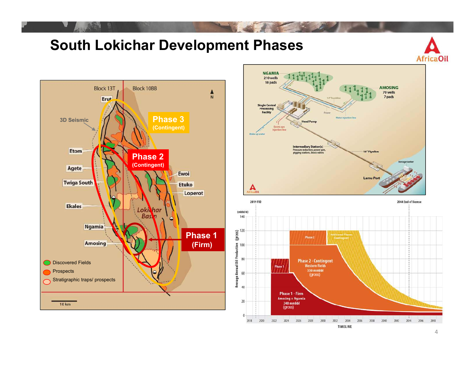### **South Lokichar Development Phases**





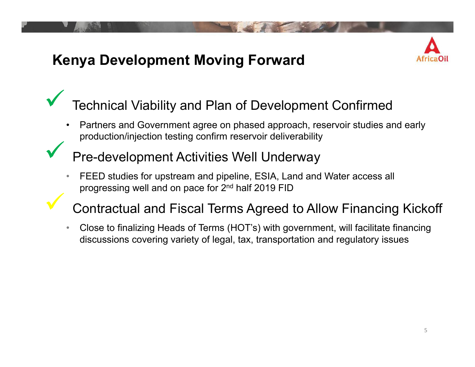### **Kenya Development Moving Forward**

 $\checkmark$ 

 $\checkmark$ 

 $\sqrt{}$ 



### Technical Viability and Plan of Development Confirmed

• Partners and Government agree on phased approach, reservoir studies and early production/injection testing confirm reservoir deliverability

### Pre-development Activities Well Underway

• FEED studies for upstream and pipeline, ESIA, Land and Water access all progressing well and on pace for 2nd half 2019 FID

### Contractual and Fiscal Terms Agreed to Allow Financing Kickoff

• Close to finalizing Heads of Terms (HOT's) with government, will facilitate financing discussions covering variety of legal, tax, transportation and regulatory issues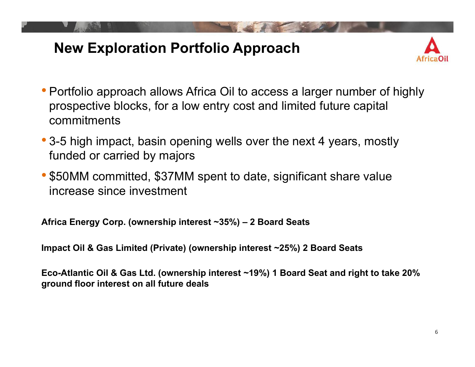### **New Exploration Portfolio Approach**



- Portfolio approach allows Africa Oil to access a larger number of highly prospective blocks, for a low entry cost and limited future capital commitments
- 3-5 high impact, basin opening wells over the next 4 years, mostly funded or carried by majors
- \$50MM committed, \$37MM spent to date, significant share value increase since investment

**Africa Energy Corp. (ownership interest ~35%) – 2 Board Seats**

**Impact Oil & Gas Limited (Private) (ownership interest ~25%) 2 Board Seats**

**Eco-Atlantic Oil & Gas Ltd. (ownership interest ~19%) 1 Board Seat and right to take 20% ground floor interest on all future deals**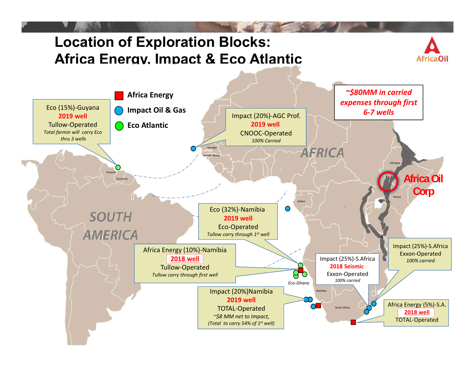#### **Location of Exploration Blocks: Africa Energy, Impact & Eco Atlantic AfricaOil** *~\$80MM in carried* **Africa Energy** *expenses through first* Eco (15%)‐Guyana **Impact Oil & Gas** *6‐7 wells* Impact (20%)‐AGC Prof. **2019 well** Tullow‐Operated **Eco Atlantic 2019 well** CNOOC‐Operated *Total farmin will carry Eco thru 3 wells 100% Carried* Senegal **AFRICA** Guinea Bissau**Ethiopia**  $\bigcirc$ Guyana **Africa Oil**  Suriname**Corp** Kenya GabonEco (32%)‐Namibia **SOUTH 2019 well** Eco‐Operated **AMERICA** *Tullow carry through 1st well* Impact (25%)‐S.Africa Africa Energy (10%)‐Namibia Exxon‐Operated Impact (25%)‐S.Africa **2018 well** *100% carried* Tullow‐Operated **2018 Seismic**  $\Theta$ Exxon‐Operated *Tullow carry through first well 100% carried Eco‐Ghana*Impact (20%)Namibia Namibia**2019 well**  $\overline{\textbf{C}}$ Africa Energy (5%)‐S.A. TOTAL‐Operated South Africa **2018 well** *~\$8 MM net to Impact,* TOTAL‐Operated *(Total to carry 54% of 1st well)*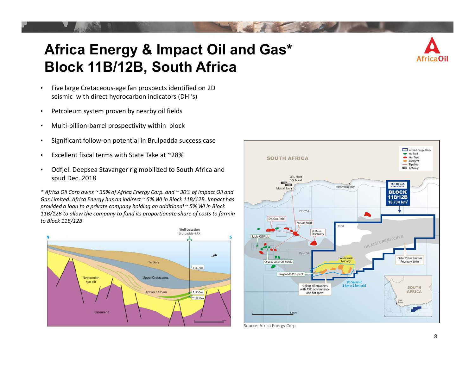### **Africa Energy & Impact Oil and Gas\* Block 11B/12B, South Africa**



- • Five large Cretaceous‐age fan prospects identified on 2D seismic with direct hydrocarbon indicators (DHI's)
- •Petroleum system proven by nearby oil fields
- •Multi‐billion‐barrel prospectivity within block
- •Significant follow‐on potential in Brulpadda success case
- •• Excellent fiscal terms with State Take at  $^{\sim}$ 28%
- • Odfjell Deepsea Stavanger rig mobilized to South Africa and spud Dec. 2018

*\* Africa Oil Corp owns <sup>~</sup> 35% of Africa Energy Corp. and <sup>~</sup> 30% of Impact Oil and Gas Limited. Africa Energy has an indirect <sup>~</sup> 5% WI in Block 11B/12B. Impact has provided <sup>a</sup> loan to <sup>a</sup> private company holding an additional <sup>~</sup> 5% WI in Block 11B/12B to allow the company to fund its proportionate share of costs to farmin to Block 11B/12B.*





Source: Africa Energy Corp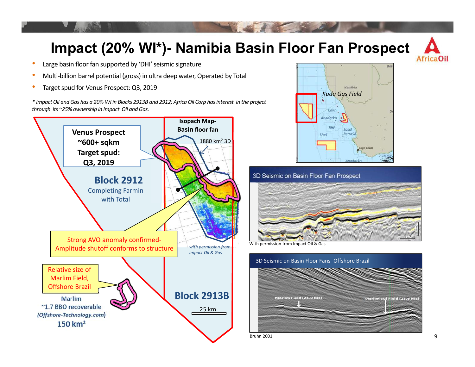### **Impact (20% WI\*)- Namibia Basin Floor Fan Prospect**

- •Large basin floor fan supported by 'DHI' seismic signature
- •● Multi-billion barrel potential (gross) in ultra deep water, Operated by Total
- •Target spud for Venus Prospect: Q3, 2019

\* Impact Oil and Gas has a 20% WI in Blocks 2913B and 2912; Africa Oil Corp has interest in the project *through its ~25% ownership in Impact Oil andGas.*





3D Seismic on Basin Floor Fan Prospect



With permission from Impact Oil & Gas



Bruhn 2001

9

**AfricaOil**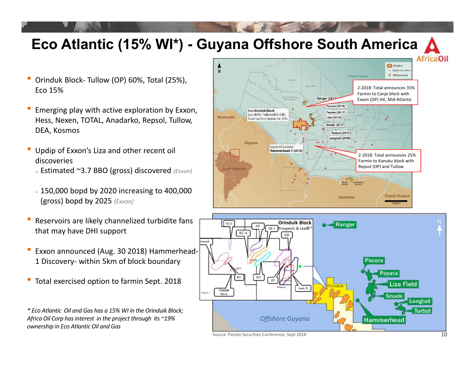### **Eco Atlantic (15% WI\*) - Guyana Offshore South America**

- •● Orinduk Block- Tullow (OP) 60%, Total (25%), Eco 15%
- • Emerging play with active exploration by Exxon, Hess, Nexen, TOTAL, Anadarko, Repsol, Tullow, DEA, Kosmos
- • Updip of Exxon's Liza and other recent oil discoveries
	- Estimated ~3.7 BBO (gross) discovered *(Exxon)*
	- 150,000 bopd by 2020 increasing to 400,000 (gross) bopd by 2025 *(Exxon)*
- • Reservoirs are likely channelized turbidite fans that may have DHI support
- • Exxon announced (Aug. 30 2018) Hammerhead‐ 1 Discovery‐ within 5km of block boundary
- •Total exercised option to farmin Sept. 2018

*\* Eco Atlantic Oil and Gas has a 15% WI in the Orinduik Block; Africa Oil Corp hasinterest in the projectthrough its ~19% ownership in Eco Atlantic Oil and Gas*



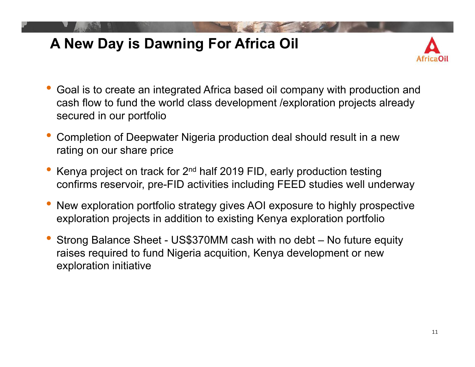### **A New Day is Dawning For Africa Oil**



- • Goal is to create an integrated Africa based oil company with production and cash flow to fund the world class development /exploration projects already secured in our portfolio
- • Completion of Deepwater Nigeria production deal should result in a new rating on our share price
- • Kenya project on track for 2nd half 2019 FID, early production testing confirms reservoir, pre-FID activities including FEED studies well underway
- • New exploration portfolio strategy gives AOI exposure to highly prospective exploration projects in addition to existing Kenya exploration portfolio
- • Strong Balance Sheet - US\$370MM cash with no debt – No future equity raises required to fund Nigeria acquition, Kenya development or new exploration initiative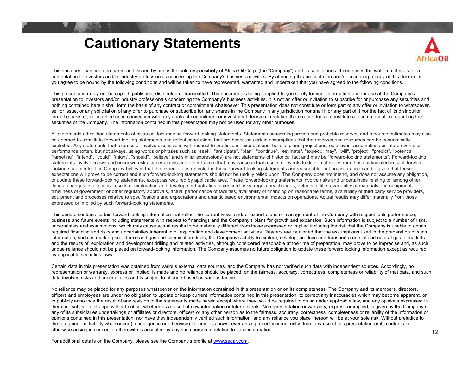### **Cautionary Statements**



This document has been prepared and issued by and is the sole responsibility of Africa Oil Corp. (the "Company") and its subsidiaries. It comprises the written materials for a presentation to investors and/or industry professionals concerning the Company's business activities. By attending this presentation and/or accepting a copy of this document, you agree to be bound by the following conditions and will be taken to have represented, warranted and undertaken that you have agreed to the following conditions.

This presentation may not be copied, published, distributed or transmitted. The document is being supplied to you solely for your information and for use at the Company's presentation to investors and/or industry professionals concerning the Company's business activities. It is not an offer or invitation to subscribe for or purchase any securities and nothing contained herein shall form the basis of any contract or commitment whatsoever This presentation does not constitute or form part of any offer or invitation to whatsoever. sell or issue, or any solicitation of any offer to purchase or subscribe for, any shares in the Company in any jurisdiction nor shall it or any part of it nor the fact of its distribution form the basis of, or be relied on in connection with, any contract commitment or investment decision in relation thereto nor does it constitute a recommendation regarding the securities of the Company. The information contained in this presentation may not be used for any other purposes.

All statements other than statements of historical fact may be forward-looking statements. Statements concerning proven and probable reserves and resource estimates may also be deemed to constitute forward-looking statements and reflect conclusions that are based on certain assumptions that the reserves and resources can be economically exploited. Any statements that express or involve discussions with respect to predictions, expectations, beliefs, plans, projections, objectives, assumptions or future events or performance (often, but not always, using words or phrases such as "seek", "anticipate", "plan", "continue", "estimate", "expect, "may", "will", "project", "predict", "potential", "targeting", "intend", "could", "might", "should", "believe" and similar expressions) are not statements of historical fact and may be "forward-looking statements". Forward-looking statements involve known and unknown risks, uncertainties and other factors that may cause actual results or events to differ materially from those anticipated in such forwardlooking statements. The Company believes that the expectations reflected in those forward-looking statements are reasonable, but no assurance can be given that these expectations will prove to be correct and such forward-looking statements should not be unduly relied upon. The Company does not intend, and does not assume any obligation, to update these forward-looking statements, except as required by applicable laws. These forward-looking statements involve risks and uncertainties relating to, among other things, changes in oil prices, results of exploration and development activities, uninsured risks, regulatory changes, defects in title, availability of materials and equipment, timeliness of government or other regulatory approvals, actual performance of facilities, availability of financing on reasonable terms, availability of third party service providers, equipment and processes relative to specifications and expectations and unanticipated environmental impacts on operations. Actual results may differ materially from those expressed or implied by such forward-looking statements.

This update contains certain forward looking information that reflect the current views and/ or expectations of management of the Company with respect to its performance, business and future events including statements with respect to financings and the Company's plans for growth and expansion. Such information is subject to a number of risks, uncertainties and assumptions, which may cause actual results to be materially different from those expressed or implied including the risk that the Company is unable to obtain required financing and risks and uncertainties inherent in oil exploration and development activities. Readers are cautioned that the assumptions used in the preparation of such information, such as market prices for oil and gas and chemical products, the Company's ability to explore, develop, produce and transport crude oil and natural gas to markets and the results of exploration and development drilling and related activities, although considered reasonable at the time of preparation, may prove to be imprecise and, as such, undue reliance should not be placed on forward-looking information. The Company assumes no future obligation to update these forward looking information except as required by applicable securities laws.

Certain data in this presentation was obtained from various external data sources, and the Company has not verified such data with independent sources. Accordingly, no representation or warranty, express or implied, is made and no reliance should be placed, on the fairness, accuracy, correctness, completeness or reliability of that data, and such data involves risks and uncertainties and is subject to change based on various factors.

No reliance may be placed for any purposes whatsoever on the information contained in this presentation or on its completeness. The Company and its members, directors, officers and employees are under no obligation to update or keep current information contained in this presentation, to correct any inaccuracies which may become apparent, or to publicly announce the result of any revision to the statements made herein except where they would be required to do so under applicable law, and any opinions expressed in them are subject to change without notice, whether as a result of new information or future events. No representation or warranty, express or implied, is given by the Company or any of its subsidiaries undertakings or affiliates or directors, officers or any other person as to the fairness, accuracy, correctness, completeness or reliability of the information or opinions contained in this presentation, nor have they independently verified such information, and any reliance you place thereon will be at your sole risk. Without prejudice to the foregoing, no liability whatsoever (in negligence or otherwise) for any loss howsoever arising, directly or indirectly, from any use of this presentation or its contents or otherwise arising in connection therewith is accepted by any such person in relation to such information.

For additional details on the Company, please see the Company's profile at www.sedar.com.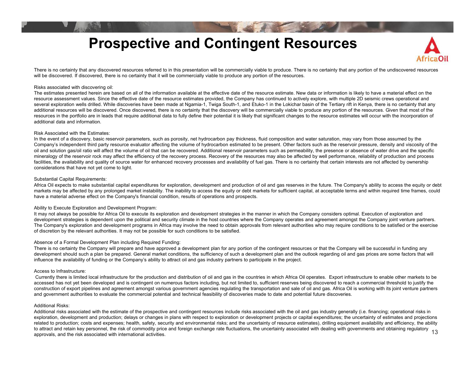### **Prospective and Contingent Resources**



There is no certainty that any discovered resources referred to in this presentation will be commercially viable to produce. There is no certainty that any portion of the undiscovered resources will be discovered. If discovered, there is no certainty that it will be commercially viable to produce any portion of the resources.

#### Risks associated with discovering oil:

The estimates presented herein are based on all of the information available at the effective date of the resource estimate. New data or information is likely to have a material effect on the resource assessment values. Since the effective date of the resource estimates provided, the Company has continued to actively explore, with multiple 2D seismic crews operational and several exploration wells drilled. While discoveries have been made at Ngamia-1, Twiga South-1, and Etuko-1 in the Lokichar basin of the Tertiary rift in Kenya, there is no certainty that any additional resources will be discovered. Once discovered, there is no certainty that the discovery will be commercially viable to produce any portion of the resources. Given that most of the resources in the portfolio are in leads that require additional data to fully define their potential it is likely that significant changes to the resource estimates will occur with the incorporation of additional data and information.

#### Risk Associated with the Estimates:

In the event of a discovery, basic reservoir parameters, such as porosity, net hydrocarbon pay thickness, fluid composition and water saturation, may vary from those assumed by the Company's independent third party resource evaluator affecting the volume of hydrocarbon estimated to be present. Other factors such as the reservoir pressure, density and viscosity of the oil and solution gas/oil ratio will affect the volume of oil that can be recovered. Additional reservoir parameters such as permeability, the presence or absence of water drive and the specific mineralogy of the reservoir rock may affect the efficiency of the recovery process. Recovery of the resources may also be affected by well performance, reliability of production and process facilities, the availability and quality of source water for enhanced recovery processes and availability of fuel gas. There is no certainty that certain interests are not affected by ownership considerations that have not yet come to light.

#### Substantial Capital Requirements:

Africa Oil expects to make substantial capital expenditures for exploration, development and production of oil and gas reserves in the future. The Company's ability to access the equity or debt markets may be affected by any prolonged market instability. The inability to access the equity or debt markets for sufficient capital, at acceptable terms and within required time frames, could have a material adverse effect on the Company's financial condition, results of operations and prospects.

#### Ability to Execute Exploration and Development Program:

It may not always be possible for Africa Oil to execute its exploration and development strategies in the manner in which the Company considers optimal. Execution of exploration and development strategies is dependent upon the political and security climate in the host countries where the Company operates and agreement amongst the Company joint venture partners. The Company's exploration and development programs in Africa may involve the need to obtain approvals from relevant authorities who may require conditions to be satisfied or the exercise of discretion by the relevant authorities. It may not be possible for such conditions to be satisfied.

#### Absence of a Formal Development Plan including Required Funding:

There is no certainty the Company will prepare and have approved a development plan for any portion of the contingent resources or that the Company will be successful in funding any development should such a plan be prepared. General market conditions, the sufficiency of such a development plan and the outlook regarding oil and gas prices are some factors that will influence the availability of funding or the Company's ability to attract oil and gas industry partners to participate in the project.

#### Access to Infrastructure:

Currently there is limited local infrastructure for the production and distribution of oil and gas in the countries in which Africa Oil operates. Export infrastructure to enable other markets to be accessed has not yet been developed and is contingent on numerous factors including, but not limited to, sufficient reserves being discovered to reach a commercial threshold to justify the construction of export pipelines and agreement amongst various government agencies regulating the transportation and sale of oil and gas. Africa Oil is working with its joint venture partners and government authorities to evaluate the commercial potential and technical feasibility of discoveries made to date and potential future discoveries.

#### Additional Risks:

to attract and retain key personnel, the risk of commodity price and foreign exchange rate fluctuations, the uncertainty associated with dealing with governments and obtaining regulatory 13 Additional risks associated with the estimate of the prospective and contingent resources include risks associated with the oil and gas industry generally (i.e. financing; operational risks in exploration, development and production; delays or changes in plans with respect to exploration or development projects or capital expenditures; the uncertainty of estimates and projections related to production; costs and expenses; health, safety, security and environmental risks; and the uncertainty of resource estimates), drilling equipment availability and efficiency, the ability approvals, and the risk associated with international activities.